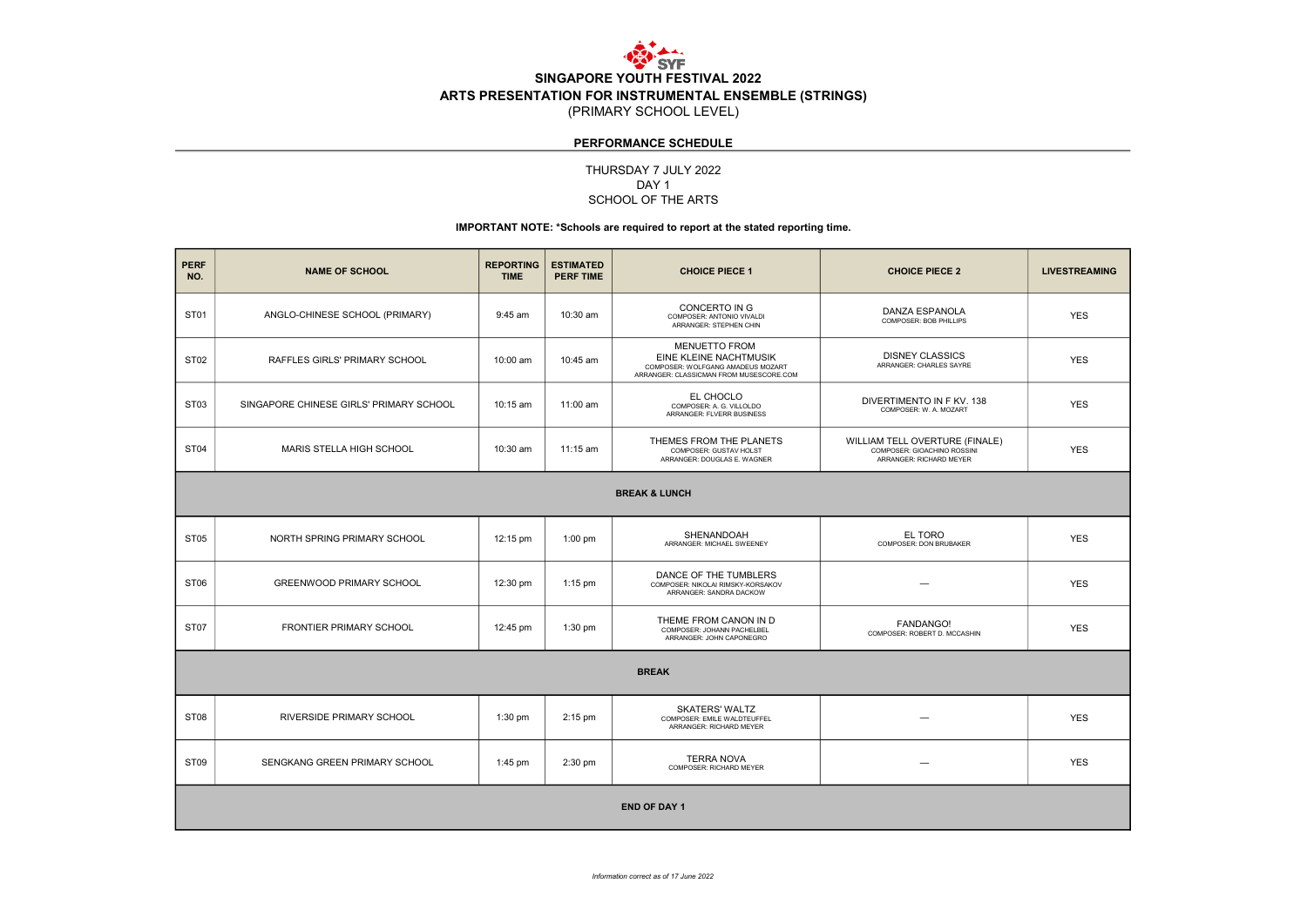

# PERFORMANCE SCHEDULE

# DAY<sub>1</sub> SCHOOL OF THE ARTS THURSDAY 7 JULY 2022

# IMPORTANT NOTE: \*Schools are required to report at the stated reporting time.

| <b>PERF</b><br>NO.       | <b>NAME OF SCHOOL</b>                   | <b>REPORTING</b><br><b>TIME</b> | <b>ESTIMATED</b><br><b>PERF TIME</b> | <b>CHOICE PIECE 1</b>                                                                                                                 | <b>CHOICE PIECE 2</b>                                                                    | <b>LIVESTREAMING</b> |  |
|--------------------------|-----------------------------------------|---------------------------------|--------------------------------------|---------------------------------------------------------------------------------------------------------------------------------------|------------------------------------------------------------------------------------------|----------------------|--|
| ST <sub>01</sub>         | ANGLO-CHINESE SCHOOL (PRIMARY)          | $9:45$ am                       | 10:30 am                             | CONCERTO IN G<br>COMPOSER: ANTONIO VIVALDI<br>ARRANGER: STEPHEN CHIN                                                                  | DANZA ESPANOLA<br>COMPOSER: BOB PHILLIPS                                                 | <b>YES</b>           |  |
| ST <sub>02</sub>         | RAFFLES GIRLS' PRIMARY SCHOOL           | $10:00$ am                      | $10:45$ am                           | <b>MENUETTO FROM</b><br><b>EINE KLEINE NACHTMUSIK</b><br>COMPOSER: WOLFGANG AMADEUS MOZART<br>ARRANGER: CLASSICMAN FROM MUSESCORE.COM | <b>DISNEY CLASSICS</b><br>ARRANGER: CHARLES SAYRE                                        | <b>YES</b>           |  |
| ST <sub>03</sub>         | SINGAPORE CHINESE GIRLS' PRIMARY SCHOOL | 10:15 am                        | 11:00 am                             | EL CHOCLO<br>COMPOSER: A. G. VILLOLDO<br>ARRANGER: FLVERR BUSINESS                                                                    | DIVERTIMENTO IN F KV, 138<br>COMPOSER: W. A. MOZART                                      | <b>YES</b>           |  |
| ST <sub>04</sub>         | MARIS STELLA HIGH SCHOOL                | 10:30 am                        | $11:15$ am                           | THEMES FROM THE PLANETS<br>COMPOSER: GUSTAV HOLST<br>ARRANGER: DOUGLAS E. WAGNER                                                      | WILLIAM TELL OVERTURE (FINALE)<br>COMPOSER: GIOACHINO ROSSINI<br>ARRANGER: RICHARD MEYER | <b>YES</b>           |  |
| <b>BREAK &amp; LUNCH</b> |                                         |                                 |                                      |                                                                                                                                       |                                                                                          |                      |  |
| ST <sub>05</sub>         | NORTH SPRING PRIMARY SCHOOL             | 12:15 pm                        | $1:00$ pm                            | SHENANDOAH<br>ARRANGER: MICHAEL SWEENEY                                                                                               | EL TORO<br>COMPOSER: DON BRUBAKER                                                        | <b>YES</b>           |  |
| ST <sub>06</sub>         | <b>GREENWOOD PRIMARY SCHOOL</b>         | 12:30 pm                        | $1:15$ pm                            | DANCE OF THE TUMBLERS<br>COMPOSER: NIKOLAI RIMSKY-KORSAKOV<br>ARRANGER: SANDRA DACKOW                                                 | -                                                                                        | <b>YES</b>           |  |
| ST <sub>07</sub>         | FRONTIER PRIMARY SCHOOL                 | 12:45 pm                        | $1:30$ pm                            | THEME FROM CANON IN D<br>COMPOSER: JOHANN PACHELBEL<br>ARRANGER: JOHN CAPONEGRO                                                       | <b>FANDANGO!</b><br>COMPOSER: ROBERT D. MCCASHIN                                         | <b>YES</b>           |  |
| <b>BREAK</b>             |                                         |                                 |                                      |                                                                                                                                       |                                                                                          |                      |  |
| ST <sub>08</sub>         | RIVERSIDE PRIMARY SCHOOL                | $1:30$ pm                       | $2:15$ pm                            | <b>SKATERS' WALTZ</b><br>COMPOSER: EMILE WALDTEUFFEL<br>ARRANGER: RICHARD MEYER                                                       |                                                                                          | <b>YES</b>           |  |
| ST <sub>09</sub>         | SENGKANG GREEN PRIMARY SCHOOL           | $1:45$ pm                       | 2:30 pm                              | <b>TERRA NOVA</b><br>COMPOSER: RICHARD MEYER                                                                                          |                                                                                          | <b>YES</b>           |  |
| <b>END OF DAY 1</b>      |                                         |                                 |                                      |                                                                                                                                       |                                                                                          |                      |  |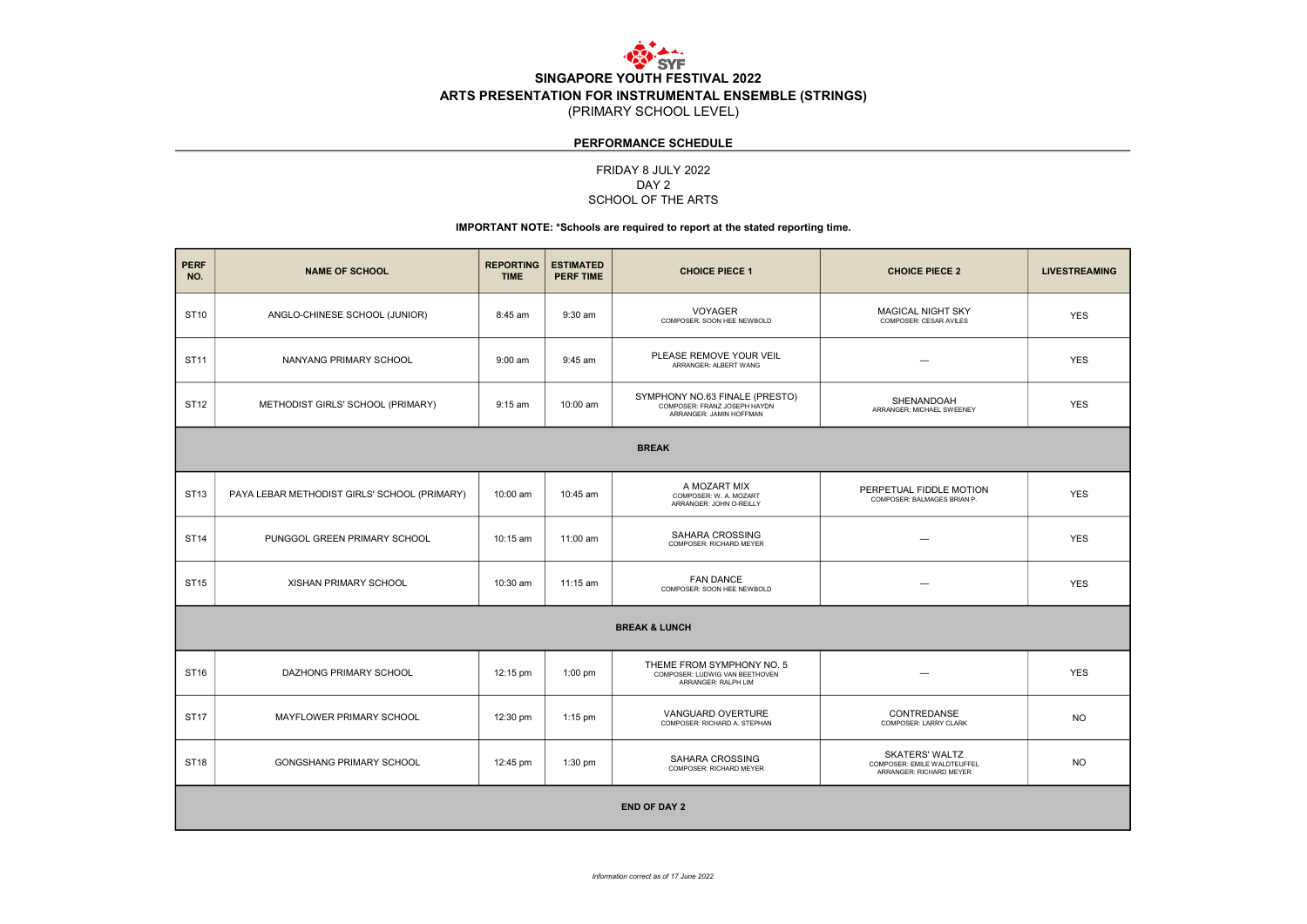

# PERFORMANCE SCHEDULE

### FRIDAY 8 JULY 2022 SCHOOL OF THE ARTS DAY 2

#### IMPORTANT NOTE: \*Schools are required to report at the stated reporting time.

| <b>PERF</b><br>NO.       | <b>NAME OF SCHOOL</b>                        | <b>REPORTING</b><br><b>TIME</b> | <b>ESTIMATED</b><br><b>PERF TIME</b> | <b>CHOICE PIECE 1</b>                                                                     | <b>CHOICE PIECE 2</b>                                                           | <b>LIVESTREAMING</b> |  |
|--------------------------|----------------------------------------------|---------------------------------|--------------------------------------|-------------------------------------------------------------------------------------------|---------------------------------------------------------------------------------|----------------------|--|
| ST10                     | ANGLO-CHINESE SCHOOL (JUNIOR)                | 8:45 am                         | 9:30 am                              | VOYAGER<br>COMPOSER: SOON HEE NEWBOLD                                                     | MAGICAL NIGHT SKY<br>COMPOSER: CESAR AVILES                                     | <b>YES</b>           |  |
| ST11                     | NANYANG PRIMARY SCHOOL                       | $9:00$ am                       | 9:45 am                              | PLEASE REMOVE YOUR VEIL<br>ARRANGER: ALBERT WANG                                          | -                                                                               | <b>YES</b>           |  |
| ST12                     | METHODIST GIRLS' SCHOOL (PRIMARY)            | 9:15 am                         | 10:00 am                             | SYMPHONY NO.63 FINALE (PRESTO)<br>COMPOSER: FRANZ JOSEPH HAYDN<br>ARRANGER: JAMIN HOFFMAN | SHENANDOAH<br>ARRANGER: MICHAEL SWEENEY                                         | <b>YES</b>           |  |
| <b>BREAK</b>             |                                              |                                 |                                      |                                                                                           |                                                                                 |                      |  |
| ST13                     | PAYA LEBAR METHODIST GIRLS' SCHOOL (PRIMARY) | 10:00 am                        | 10:45 am                             | A MOZART MIX<br>COMPOSER: W. A. MOZART<br>ARRANGER: JOHN O-REILLY                         | PERPETUAL FIDDLE MOTION<br>COMPOSER: BALMAGES BRIAN P.                          | <b>YES</b>           |  |
| <b>ST14</b>              | PUNGGOL GREEN PRIMARY SCHOOL                 | $10:15$ am                      | 11:00 am                             | SAHARA CROSSING<br>COMPOSER: RICHARD MEYER                                                | -                                                                               | <b>YES</b>           |  |
| ST15                     | XISHAN PRIMARY SCHOOL                        | 10:30 am                        | 11:15 am                             | <b>FAN DANCE</b><br>COMPOSER: SOON HEE NEWBOLD                                            | -                                                                               | <b>YES</b>           |  |
| <b>BREAK &amp; LUNCH</b> |                                              |                                 |                                      |                                                                                           |                                                                                 |                      |  |
| ST16                     | DAZHONG PRIMARY SCHOOL                       | 12:15 pm                        | $1:00$ pm                            | THEME FROM SYMPHONY NO. 5<br>COMPOSER: LUDWIG VAN BEETHOVEN<br>ARRANGER: RALPH LIM        |                                                                                 | <b>YES</b>           |  |
| <b>ST17</b>              | MAYFLOWER PRIMARY SCHOOL                     | 12:30 pm                        | $1:15$ pm                            | VANGUARD OVERTURE<br>COMPOSER: RICHARD A. STEPHAN                                         | CONTREDANSE<br>COMPOSER: LARRY CLARK                                            | <b>NO</b>            |  |
| <b>ST18</b>              | <b>GONGSHANG PRIMARY SCHOOL</b>              | 12:45 pm                        | $1:30$ pm                            | SAHARA CROSSING<br>COMPOSER: RICHARD MEYER                                                | <b>SKATERS' WALTZ</b><br>COMPOSER: EMILE WALDTEUFFEL<br>ARRANGER: RICHARD MEYER | <b>NO</b>            |  |
| <b>END OF DAY 2</b>      |                                              |                                 |                                      |                                                                                           |                                                                                 |                      |  |